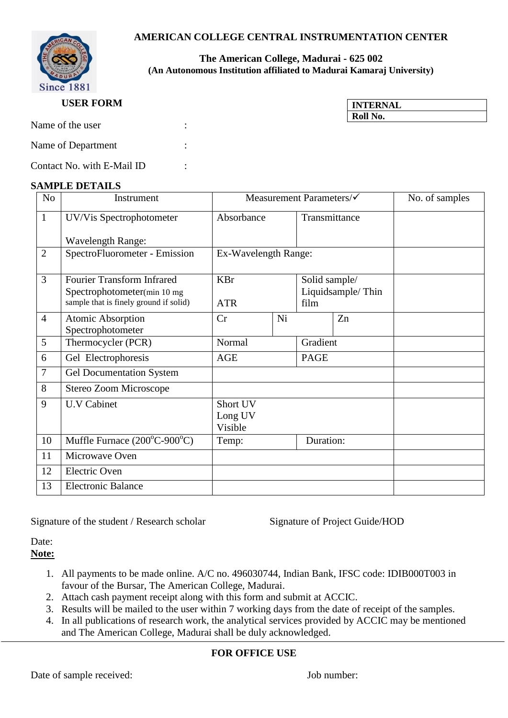## **AMERICAN COLLEGE CENTRAL INSTRUMENTATION CENTER**



#### **The American College, Madurai - 625 002 (An Autonomous Institution affiliated to Madurai Kamaraj University)**

#### **USER FORM**

| <b>INTERNAL</b> |  |
|-----------------|--|
| Roll No.        |  |

| Name of the user   |  |
|--------------------|--|
| Name of Department |  |

Contact No. with E-Mail ID :

#### **SAMPLE DETAILS**

| N <sub>o</sub> | Instrument                                                                                                 | Measurement Parameters/√       |    |                                            |               | No. of samples |
|----------------|------------------------------------------------------------------------------------------------------------|--------------------------------|----|--------------------------------------------|---------------|----------------|
| $\mathbf{1}$   | UV/Vis Spectrophotometer                                                                                   | Absorbance                     |    |                                            | Transmittance |                |
|                | <b>Wavelength Range:</b>                                                                                   |                                |    |                                            |               |                |
| $\overline{2}$ | SpectroFluorometer - Emission                                                                              | Ex-Wavelength Range:           |    |                                            |               |                |
| 3              | <b>Fourier Transform Infrared</b><br>Spectrophotometer(min 10 mg<br>sample that is finely ground if solid) | KBr<br><b>ATR</b>              |    | Solid sample/<br>Liquidsample/Thin<br>film |               |                |
| $\overline{4}$ | <b>Atomic Absorption</b><br>Spectrophotometer                                                              | Cr                             | Ni |                                            | Zn            |                |
| 5              | Thermocycler (PCR)                                                                                         | Normal                         |    | Gradient                                   |               |                |
| 6              | Gel Electrophoresis                                                                                        | <b>AGE</b>                     |    | <b>PAGE</b>                                |               |                |
| 7              | <b>Gel Documentation System</b>                                                                            |                                |    |                                            |               |                |
| 8              | Stereo Zoom Microscope                                                                                     |                                |    |                                            |               |                |
| 9              | <b>U.V Cabinet</b>                                                                                         | Short UV<br>Long UV<br>Visible |    |                                            |               |                |
| 10             | Muffle Furnace $(200^{\circ}C - 900^{\circ}C)$                                                             | Temp:                          |    | Duration:                                  |               |                |
| 11             | Microwave Oven                                                                                             |                                |    |                                            |               |                |
| 12             | <b>Electric Oven</b>                                                                                       |                                |    |                                            |               |                |
| 13             | <b>Electronic Balance</b>                                                                                  |                                |    |                                            |               |                |

Signature of the student / Research scholar Signature of Project Guide/HOD

Date: **Note:** 

- 1. All payments to be made online. A/C no. 496030744, Indian Bank, IFSC code: IDIB000T003 in favour of the Bursar, The American College, Madurai.
- 2. Attach cash payment receipt along with this form and submit at ACCIC.
- 3. Results will be mailed to the user within 7 working days from the date of receipt of the samples.
- 4. In all publications of research work, the analytical services provided by ACCIC may be mentioned and The American College, Madurai shall be duly acknowledged.

### **FOR OFFICE USE**

Date of sample received: Job number: